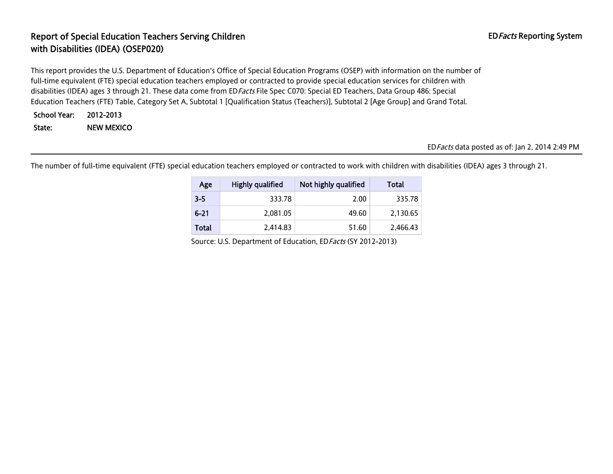# Report of Special Education Teachers Serving Children EDFacts Reporting System with Disabilities (IDEA) (OSEP020)

This report provides the U.S. Department of Education's Office of Special Education Programs (OSEP) with information on the number of full-time equivalent (FTE) special education teachers employed or contracted to provide special education services for children with disabilities (IDEA) ages 3 through 21. These data come from ED Facts File Spec C070: Special ED Teachers, Data Group 486: Special Education Teachers (FTE) Table, Category Set A, Subtotal 1 [Qualification Status (Teachers)], Subtotal 2 [Age Group] and Grand Total.

School Year: 2012-2013 State: NEW MEXICO

EDFacts data posted as of: Jan 2, 2014 2:49 PM

The number of full-time equivalent (FTE) special education teachers employed or contracted to work with children with disabilities (IDEA) ages 3 through 21.

| Age          | Highly qualified | Not highly qualified | Total    |
|--------------|------------------|----------------------|----------|
| $3 - 5$      | 333.78           | 2.00                 | 335.78   |
| $6 - 21$     | 2.081.05         | 49.60                | 2.130.65 |
| <b>Total</b> | 2.414.83         | 51.60                | 2,466.43 |

Source: U.S. Department of Education, EDFacts (SY 2012-2013)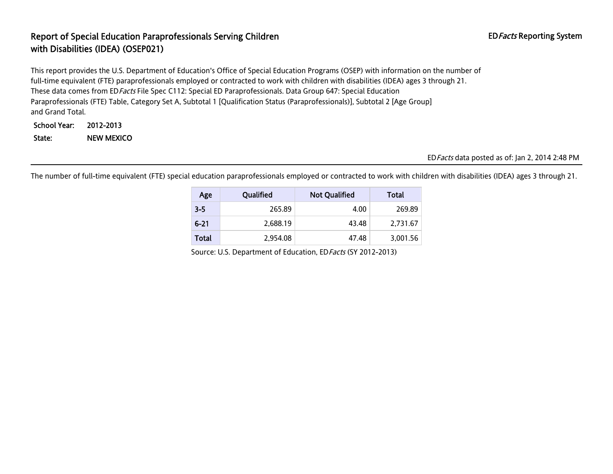### Report of Special Education Paraprofessionals Serving Children EDFacts Reporting System with Disabilities (IDEA) (OSEP021)

This report provides the U.S. Department of Education's Office of Special Education Programs (OSEP) with information on the number of full-time equivalent (FTE) paraprofessionals employed or contracted to work with children with disabilities (IDEA) ages 3 through 21. These data comes from EDFacts File Spec C112: Special ED Paraprofessionals. Data Group 647: Special Education Paraprofessionals (FTE) Table, Category Set A, Subtotal 1 [Qualification Status (Paraprofessionals)], Subtotal 2 [Age Group] and Grand Total.

School Year: 2012-2013 State: NEW MEXICO

#### EDFacts data posted as of: Jan 2, 2014 2:48 PM

The number of full-time equivalent (FTE) special education paraprofessionals employed or contracted to work with children with disabilities (IDEA) ages 3 through 21.

| Age      | Qualified | <b>Not Qualified</b> | Total    |
|----------|-----------|----------------------|----------|
| $3 - 5$  | 265.89    | 4.00                 | 269.89   |
| $6 - 21$ | 2.688.19  | 43.48                | 2,731.67 |
| Total    | 2,954.08  | 47.48                | 3,001.56 |

Source: U.S. Department of Education, ED Facts (SY 2012-2013)